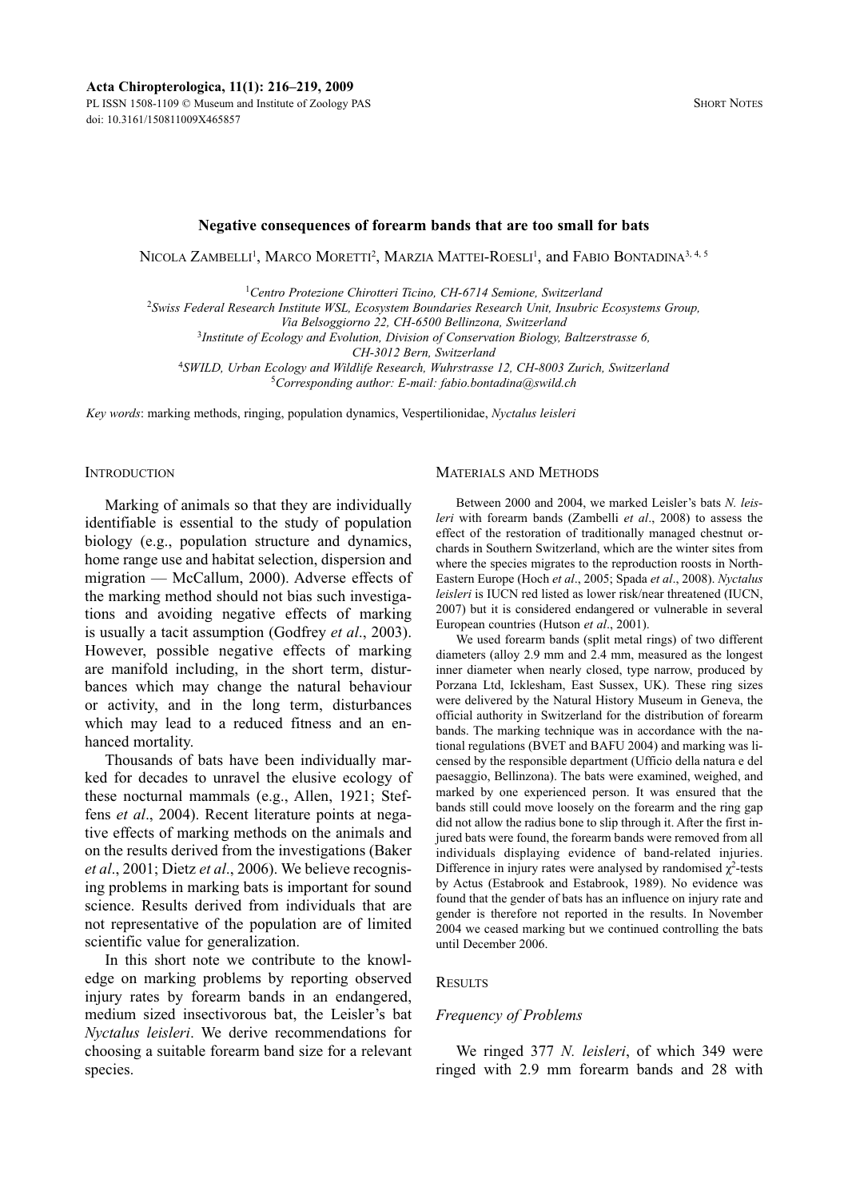PL ISSN 1508-1109 © Museum and Institute of Zoology PAS doi: 10.3161/150811009X465857

# **Negative consequences of forearm bands that are too small for bats**

Nicola Zambelli<sup>1</sup>, Marco Moretti<sup>2</sup>, Marzia Mattei-Roesli<sup>1</sup>, and Fabio Bontadina<sup>3, 4, 5</sup>

<sup>1</sup>*Centro Protezione Chirotteri Ticino, CH-6714 Semione, Switzerland*

2 *Swiss Federal Research Institute WSL, Ecosystem Boundaries Research Unit, Insubric Ecosystems Group,* 

*Via Belsoggiorno 22, CH-6500 Bellinzona, Switzerland*

3 *Institute of Ecology and Evolution, Division of Conservation Biology, Baltzerstrasse 6,* 

*CH-3012 Bern, Switzerland*

4 *SWILD, Urban Ecology and Wildlife Research, Wuhrstrasse 12, CH-8003 Zurich, Switzerland* 5 *Corresponding author: E-mail: fabio.bontadina@swild.ch*

*Key words*: marking methods, ringing, population dynamics, Vespertilionidae, *Nyctalus leisleri*

### **INTRODUCTION**

Marking of animals so that they are individually identifiable is essential to the study of population biology (e.g., population structure and dynamics, home range use and habitat selection, dispersion and migration — McCallum, 2000). Adverse effects of the marking method should not bias such investigations and avoiding negative effects of marking is usually a tacit assumption (Godfrey *et al*., 2003). However, possible negative effects of marking are manifold including, in the short term, disturbances which may change the natural behaviour or activity, and in the long term, disturbances which may lead to a reduced fitness and an enhanced mortality.

Thousands of bats have been individually mar ked for decades to unravel the elusive ecology of these nocturnal mammals (e.g., Allen, 1921; Steffens *et al*., 2004). Recent literature points at negative effects of marking methods on the animals and on the results derived from the investigations (Baker *et al*., 2001; Dietz *et al*., 2006). We believe recognising problems in marking bats is important for sound science. Results derived from individuals that are not representative of the population are of limited scientific value for generalization.

In this short note we contribute to the knowledge on marking problems by reporting observed injury rates by forearm bands in an endangered, medium sized insectivorous bat, the Leisler's bat *Nyctalus leisleri*. We derive recommendations for choosing a suitable forearm band size for a relevant species.

### MATERIALS AND METHODS

Between 2000 and 2004, we marked Leisler's bats *N. leisleri* with forearm bands (Zambelli *et al*., 2008) to assess the effect of the restoration of traditionally managed chestnut orchards in Southern Switzerland, which are the winter sites from where the species migrates to the reproduction roosts in North-Eastern Europe (Hoch *et al*., 2005; Spada *et al*., 2008). *Nyctalus leisleri* is IUCN red listed as lower risk/near threatened (IUCN, 2007) but it is considered endangered or vulnerable in several European countries (Hutson *et al*., 2001).

We used forearm bands (split metal rings) of two different diameters (alloy 2.9 mm and 2.4 mm, measured as the longest inner diameter when nearly closed, type narrow, produced by Porzana Ltd, Icklesham, East Sussex, UK). These ring sizes were delivered by the Natural History Museum in Geneva, the official authority in Switzerland for the distribution of forearm bands. The marking technique was in accordance with the national regulations (BVET and BAFU 2004) and marking was licensed by the responsible department (Ufficio della natura e del paesaggio, Bellinzona). The bats were examined, weighed, and marked by one experienced person. It was ensured that the bands still could move loosely on the forearm and the ring gap did not allow the radius bone to slip through it. After the first injured bats were found, the forearm bands were removed from all individuals displaying evidence of band-related injuries. Difference in injury rates were analysed by randomised  $\chi^2$ -tests by Actus (Estabrook and Estabrook, 1989). No evidence was found that the gender of bats has an influence on injury rate and gender is therefore not reported in the results. In November 2004 we ceased marking but we continued controlling the bats until December 2006.

# **RESULTS**

### *Frequency of Problems*

We ringed 377 *N. leisleri*, of which 349 were ringed with 2.9 mm forearm bands and 28 with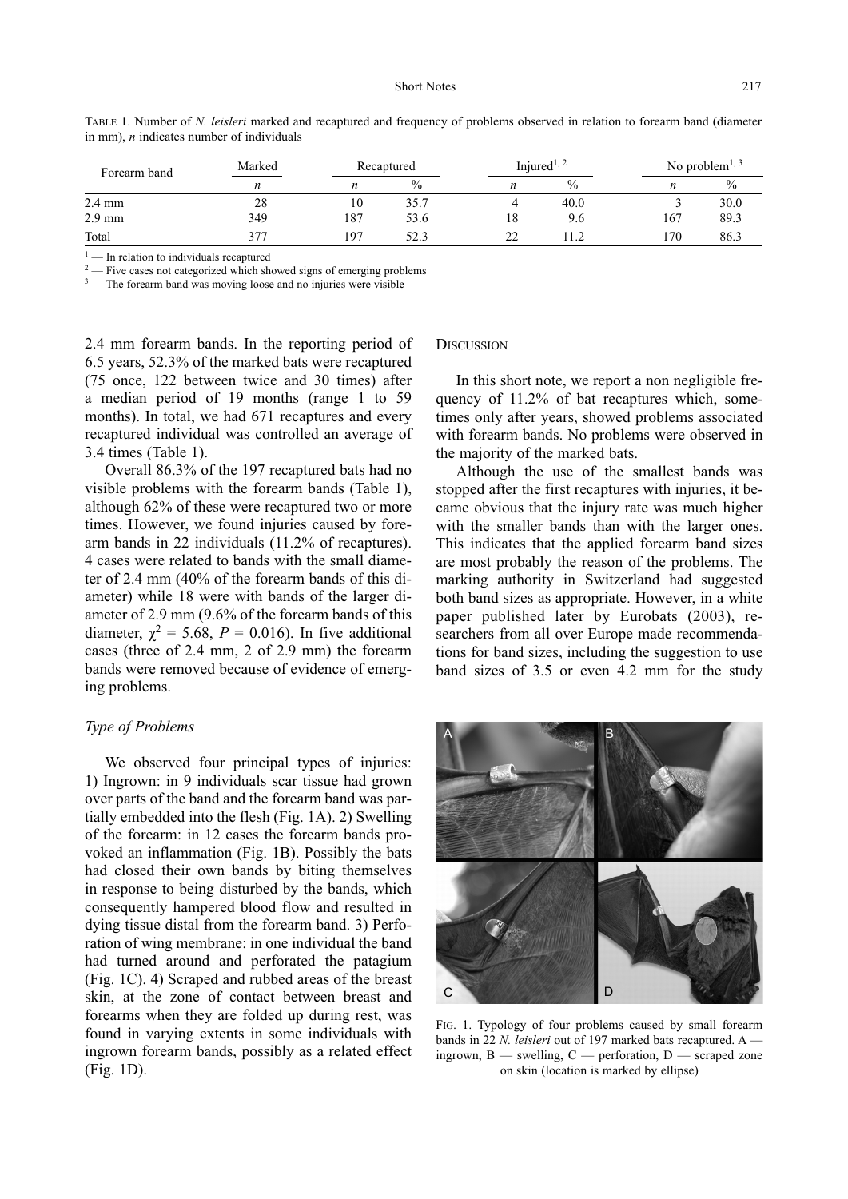| Forearm band     | Marked | Recaptured |               | Injured <sup>1, 2</sup> |               | No problem <sup><math>1, 3</math></sup> |      |
|------------------|--------|------------|---------------|-------------------------|---------------|-----------------------------------------|------|
|                  | n      | n          | $\frac{0}{0}$ | n                       | $\frac{0}{0}$ | n                                       | $\%$ |
| $2.4 \text{ mm}$ | 28     | 10         | 35.7          |                         | 40.0          |                                         | 30.0 |
| $2.9 \text{ mm}$ | 349    | 187        | 53.6          | 18                      | 9.6           | 167                                     | 89.3 |
| Total            | 377    | 197        | 52.3          | າາ                      |               | l 70                                    | 86.3 |

TABLE 1. Number of *N. leisleri* marked and recaptured and frequency of problems observed in relation to forearm band (diameter in mm), *n* indicates number of individuals

 $1$  — In relation to individuals recaptured

<sup>2</sup> — Five cases not categorized which showed signs of emerging problems

 $3$  — The forearm band was moving loose and no injuries were visible

2.4 mm forearm bands. In the reporting period of 6.5 years, 52.3% of the marked bats were recaptured (75 once, 122 between twice and 30 times) after a me dian period of 19 months (range 1 to 59 months). In total, we had 671 recaptures and every recaptured individual was controlled an average of 3.4 times (Table 1).

Overall 86.3% of the 197 recaptured bats had no visible problems with the forearm bands (Table 1), although 62% of these were recaptured two or more times. However, we found injuries caused by forearm bands in 22 individuals (11.2% of recaptures). 4 cases were related to bands with the small diameter of 2.4 mm (40% of the forearm bands of this diameter) while 18 were with bands of the larger diameter of 2.9 mm (9.6% of the forearm bands of this diameter,  $\chi^2 = 5.68$ ,  $P = 0.016$ ). In five additional cases (three of 2.4 mm, 2 of 2.9 mm) the forearm bands were removed because of evidence of emerging problems.

# *Type of Problems*

We observed four principal types of injuries: 1) Ingrown: in 9 individuals scar tissue had grown over parts of the band and the forearm band was partially embedded into the flesh (Fig. 1A). 2) Swelling of the forearm: in 12 cases the forearm bands provoked an inflammation (Fig. 1B). Possibly the bats had closed their own bands by biting themselves in response to being disturbed by the bands, which consequently hampered blood flow and resulted in dying tissue distal from the forearm band. 3) Perforation of wing membrane: in one individual the band had turned around and perforated the patagium (Fig. 1C). 4) Scraped and rubbed areas of the breast skin, at the zone of contact between breast and forearms when they are folded up during rest, was found in varying extents in some individuals with ingrown forearm bands, possibly as a related effect (Fig. 1D).

#### **DISCUSSION**

In this short note, we report a non negligible frequency of  $11.2\%$  of bat recaptures which, sometimes only after years, showed problems associated with forearm bands. No problems were observed in the majority of the marked bats.

Although the use of the smallest bands was stopped after the first recaptures with injuries, it became obvious that the injury rate was much higher with the smaller bands than with the larger ones. This indicates that the applied forearm band sizes are most probably the reason of the problems. The marking authority in Switzerland had suggested both band sizes as appropriate. However, in a white paper published later by Eurobats (2003), researchers from all over Europe made recommendations for band sizes, including the suggestion to use band sizes of 3.5 or even 4.2 mm for the study



FIG. 1. Typology of four problems caused by small forearm bands in 22 *N. leisleri* out of 197 marked bats recaptured. A ingrown,  $B$  — swelling,  $C$  — perforation,  $D$  — scraped zone on skin (location is marked by ellipse)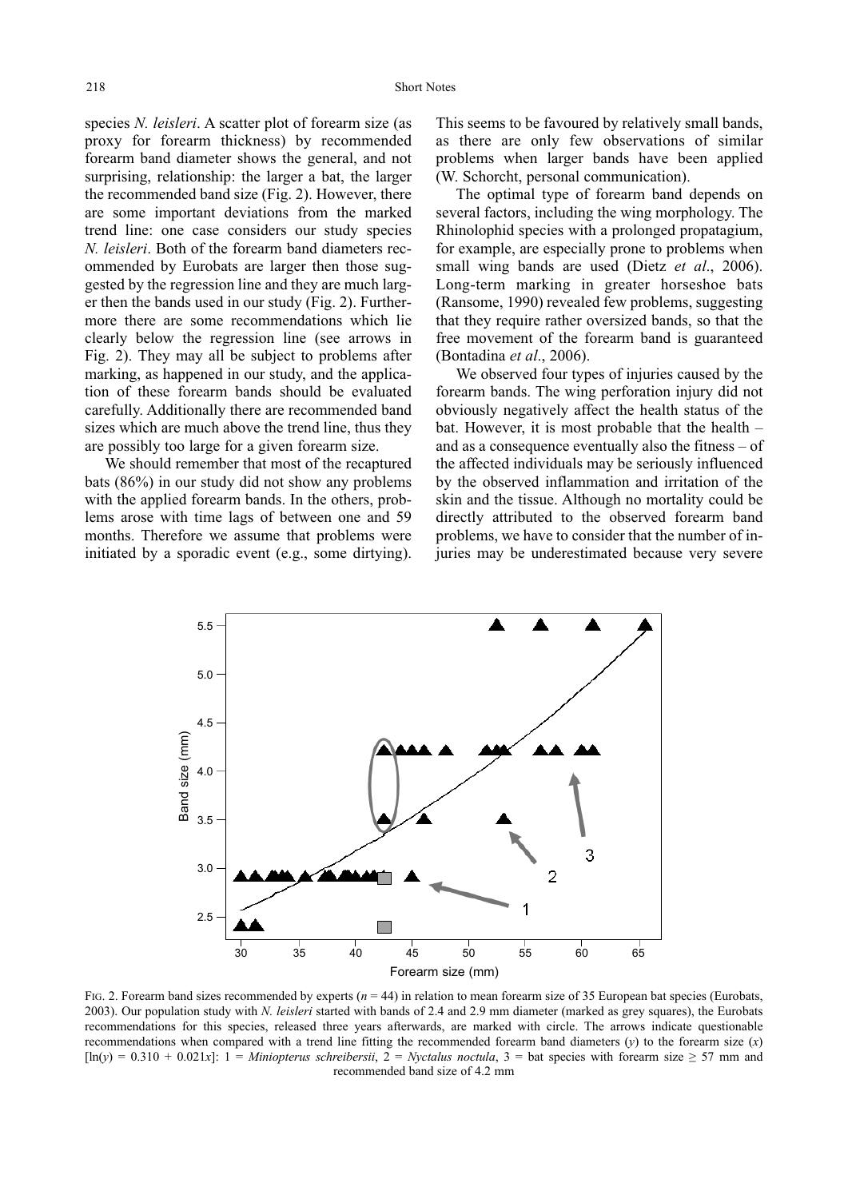species *N. leisleri*. A scatter plot of forearm size (as proxy for forearm thickness) by recommended forearm band diameter shows the general, and not surprising, relationship: the larger a bat, the larger the recommended band size (Fig. 2). However, there are some important deviations from the marked trend line: one case considers our study species *N. leisleri*. Both of the forearm band diameters recommended by Eurobats are larger then those suggested by the regression line and they are much larger then the bands used in our study (Fig. 2). Furthermore there are some recommendations which lie clearly below the regression line (see arrows in Fig. 2). They may all be subject to problems after marking, as happened in our study, and the application of these forearm bands should be evaluated carefully. Additionally there are recommended band sizes which are much above the trend line, thus they are possibly too large for a given forearm size.

We should remember that most of the recaptured bats (86%) in our study did not show any problems with the applied forearm bands. In the others, problems arose with time lags of between one and 59 months. Therefore we assume that problems were initiated by a sporadic event (e.g., some dirtying).

This seems to be favoured by relatively small bands, as there are only few observations of similar problems when larger bands have been applied (W. Schorcht, personal communication).

The optimal type of forearm band depends on several factors, including the wing morphology. The Rhinolophid species with a prolonged propatagium, for example, are especially prone to problems when small wing bands are used (Dietz *et al*., 2006). Long-term marking in greater horseshoe bats (Ransome, 1990) revealed few problems, suggesting that they require rather oversized bands, so that the free movement of the forearm band is guaranteed (Bontadina *et al*., 2006).

We observed four types of injuries caused by the forearm bands. The wing perforation injury did not obviously negatively affect the health status of the bat. However, it is most probable that the health – and as a consequence eventually also the fitness – of the affected individuals may be seriously influenced by the observed inflammation and irritation of the skin and the tissue. Although no mortality could be directly attributed to the observed forearm band problems, we have to consider that the number of injuries may be underestimated because very severe



FIG. 2. Forearm band sizes recommended by experts ( $n = 44$ ) in relation to mean forearm size of 35 European bat species (Eurobats, 2003). Our population study with *N. leisleri* started with bands of 2.4 and 2.9 mm diameter (marked as grey squares), the Eurobats recommendations for this species, released three years afterwards, are marked with circle. The arrows indicate questionable recommendations when compared with a trend line fitting the recommended forearm band diameters  $(y)$  to the forearm size  $(x)$  $[\ln(y) = 0.310 + 0.021x]$ : 1 = *Miniopterus schreibersii*, 2 = *Nyctalus noctula*, 3 = bat species with forearm size  $\geq 57$  mm and recommended band size of 4.2 mm